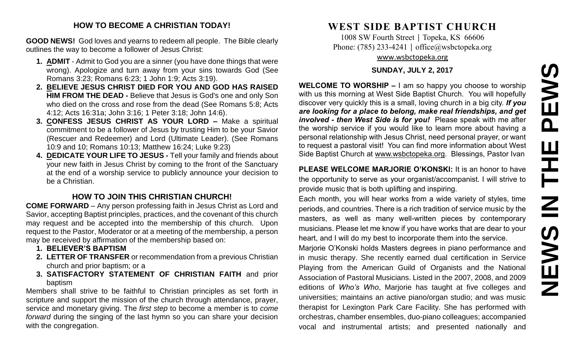# **NEWS IN THE PEWS**PEWS Ш Ē NSSMN

#### **HOW TO BECOME A CHRISTIAN TODAY!**

**GOOD NEWS!** God loves and yearns to redeem all people. The Bible clearly outlines the way to become a follower of Jesus Christ:

- **1. ADMIT** Admit to God you are a sinner (you have done things that were wrong). Apologize and turn away from your sins towards God (See Romans 3:23; Romans 6:23; 1 John 1:9; Acts 3:19).
- **2. BELIEVE JESUS CHRIST DIED FOR YOU AND GOD HAS RAISED HIM FROM THE DEAD -** Believe that Jesus is God's one and only Son who died on the cross and rose from the dead (See Romans 5:8; Acts 4:12; Acts 16:31a; John 3:16; 1 Peter 3:18; John 14:6).
- **3. CONFESS JESUS CHRIST AS YOUR LORD –** Make a spiritual commitment to be a follower of Jesus by trusting Him to be your Savior (Rescuer and Redeemer) and Lord (Ultimate Leader). (See Romans 10:9 and 10; Romans 10:13; Matthew 16:24; Luke 9:23)
- **4. DEDICATE YOUR LIFE TO JESUS -** Tell your family and friends about your new faith in Jesus Christ by coming to the front of the Sanctuary at the end of a worship service to publicly announce your decision to be a Christian.

#### **HOW TO JOIN THIS CHRISTIAN CHURCH!**

**COME FORWARD** – Any person professing faith in Jesus Christ as Lord and Savior, accepting Baptist principles, practices, and the covenant of this church may request and be accepted into the membership of this church. Upon request to the Pastor, Moderator or at a meeting of the membership, a person may be received by affirmation of the membership based on:

- **1. BELIEVER'S BAPTISM**
- **2. LETTER OF TRANSFER** or recommendation from a previous Christian church and prior baptism; or a
- **3. SATISFACTORY STATEMENT OF CHRISTIAN FAITH** and prior baptism

Members shall strive to be faithful to Christian principles as set forth in scripture and support the mission of the church through attendance, prayer, service and monetary giving. The *first step* to become a member is to *come forward* during the singing of the last hymn so you can share your decision with the congregation.

## **WEST SIDE BAPTIST CHURCH**

1008 SW Fourth Street | Topeka, KS 66606 Phone: (785) 233-4241 │ [office@wsbctopeka.org](mailto:office@wsbctopeka.org) [www.wsbctopeka.org](http://www.wsbctopeka.org/)

#### **SUNDAY, JULY 2, 2017**

**WELCOME TO WORSHIP –** I am so happy you choose to worship with us this morning at West Side Baptist Church. You will hopefully discover very quickly this is a small, loving church in a big city. *If you are looking for a place to belong, make real friendships, and get involved - then West Side is for you!* Please speak with me after the worship service if you would like to learn more about having a personal relationship with Jesus Christ, need personal prayer, or want to request a pastoral visit! You can find more information about West Side Baptist Church at [www.wsbctopeka.org.](http://www.wsbctopeka.org/) Blessings, Pastor Ivan

**PLEASE WELCOME MARJORIE O'KONSKI:** It is an honor to have the opportunity to serve as your organist/accompanist. I will strive to provide music that is both uplifting and inspiring.

Each month, you will hear works from a wide variety of styles, time periods, and countries. There is a rich tradition of service music by the masters, as well as many well-written pieces by contemporary musicians. Please let me know if you have works that are dear to your heart, and I will do my best to incorporate them into the service.

Marjorie O'Konski holds Masters degrees in piano performance and in music therapy. She recently earned dual certification in Service Playing from the American Guild of Organists and the National Association of Pastoral Musicians. Listed in the 2007, 2008, and 2009 editions of *Who's Who*, Marjorie has taught at five colleges and universities; maintains an active piano/organ studio; and was music therapist for Lexington Park Care Facility. She has performed with orchestras, chamber ensembles, duo-piano colleagues; accompanied vocal and instrumental artists; and presented nationally and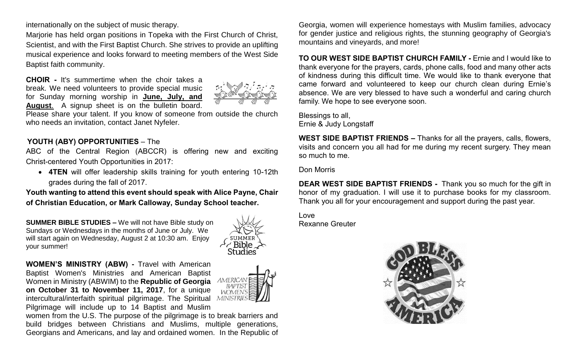internationally on the subject of music therapy.

Marjorie has held organ positions in Topeka with the First Church of Christ, Scientist, and with the First Baptist Church. She strives to provide an uplifting musical experience and looks forward to meeting members of the West Side Baptist faith community.

**CHOIR -** It's summertime when the choir takes a break. We need volunteers to provide special music for Sunday morning worship in **June, July, and August**. A signup sheet is on the bulletin board.



Please share your talent. If you know of someone from outside the church who needs an invitation, contact Janet Nyfeler.

#### **YOUTH (ABY) OPPORTUNITIES** – The

ABC of the Central Region (ABCCR) is offering new and exciting Christ-centered Youth Opportunities in 2017:

• **4TEN** will offer leadership skills training for youth entering 10-12th grades during the fall of 2017.

**Youth wanting to attend this event should speak with Alice Payne, Chair of Christian Education, or Mark Calloway, Sunday School teacher.**

**SUMMER BIBLE STUDIES –** We will not have Bible study on Sundays or Wednesdays in the months of June or July. We will start again on Wednesday, August 2 at 10:30 am. Enjoy your summer!



1MERICA **BAPTIST WOMEN'S** 

**WOMEN'S MINISTRY (ABW) -** Travel with American Baptist Women's Ministries and American Baptist Women in Ministry (ABWIM) to the **Republic of Georgia on October 31 to November 11, 2017**, for a unique intercultural/interfaith spiritual pilgrimage. The Spiritual MINISTRIE: Pilgrimage will include up to 14 Baptist and Muslim

women from the U.S. The purpose of the pilgrimage is to break barriers and build bridges between Christians and Muslims, multiple generations, Georgians and Americans, and lay and ordained women. In the Republic of

Georgia, women will experience homestays with Muslim families, advocacy for gender justice and religious rights, the stunning geography of Georgia's mountains and vineyards, and more!

**TO OUR WEST SIDE BAPTIST CHURCH FAMILY -** Ernie and I would like to thank everyone for the prayers, cards, phone calls, food and many other acts of kindness during this difficult time. We would like to thank everyone that came forward and volunteered to keep our church clean during Ernie's absence. We are very blessed to have such a wonderful and caring church family. We hope to see everyone soon.

Blessings to all, Ernie & Judy Longstaff

**WEST SIDE BAPTIST FRIENDS –** Thanks for all the prayers, calls, flowers, visits and concern you all had for me during my recent surgery. They mean so much to me.

Don Morris

**DEAR WEST SIDE BAPTIST FRIENDS -** Thank you so much for the gift in honor of my graduation. I will use it to purchase books for my classroom. Thank you all for your encouragement and support during the past year.

Love Rexanne Greuter